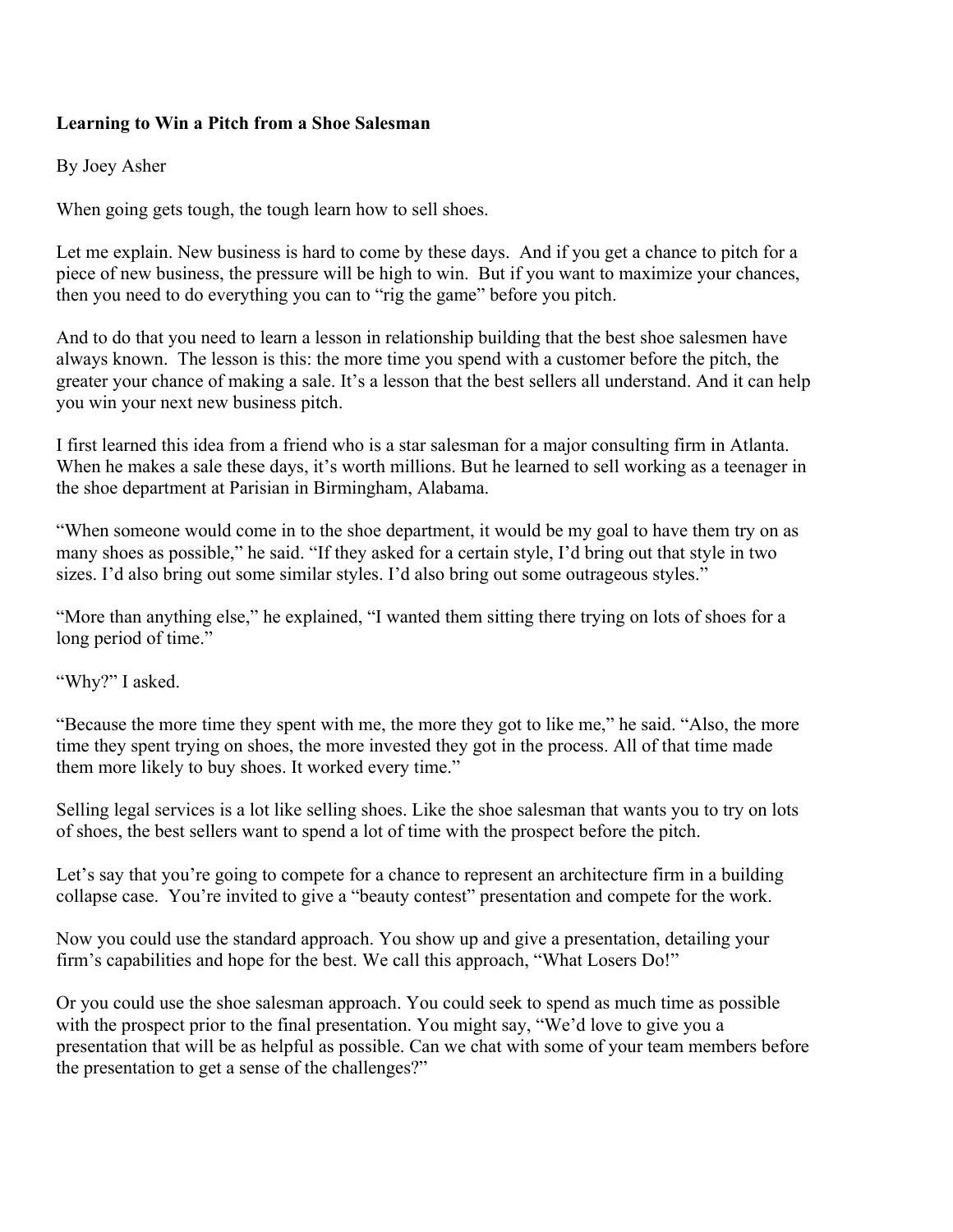## **Learning to Win a Pitch from a Shoe Salesman**

## By Joey Asher

When going gets tough, the tough learn how to sell shoes.

Let me explain. New business is hard to come by these days. And if you get a chance to pitch for a piece of new business, the pressure will be high to win. But if you want to maximize your chances, then you need to do everything you can to "rig the game" before you pitch.

And to do that you need to learn a lesson in relationship building that the best shoe salesmen have always known. The lesson is this: the more time you spend with a customer before the pitch, the greater your chance of making a sale. It's a lesson that the best sellers all understand. And it can help you win your next new business pitch.

I first learned this idea from a friend who is a star salesman for a major consulting firm in Atlanta. When he makes a sale these days, it's worth millions. But he learned to sell working as a teenager in the shoe department at Parisian in Birmingham, Alabama.

"When someone would come in to the shoe department, it would be my goal to have them try on as many shoes as possible," he said. "If they asked for a certain style, I'd bring out that style in two sizes. I'd also bring out some similar styles. I'd also bring out some outrageous styles."

"More than anything else," he explained, "I wanted them sitting there trying on lots of shoes for a long period of time."

"Why?" I asked.

"Because the more time they spent with me, the more they got to like me," he said. "Also, the more time they spent trying on shoes, the more invested they got in the process. All of that time made them more likely to buy shoes. It worked every time."

Selling legal services is a lot like selling shoes. Like the shoe salesman that wants you to try on lots of shoes, the best sellers want to spend a lot of time with the prospect before the pitch.

Let's say that you're going to compete for a chance to represent an architecture firm in a building collapse case. You're invited to give a "beauty contest" presentation and compete for the work.

Now you could use the standard approach. You show up and give a presentation, detailing your firm's capabilities and hope for the best. We call this approach, "What Losers Do!"

Or you could use the shoe salesman approach. You could seek to spend as much time as possible with the prospect prior to the final presentation. You might say, "We'd love to give you a presentation that will be as helpful as possible. Can we chat with some of your team members before the presentation to get a sense of the challenges?"